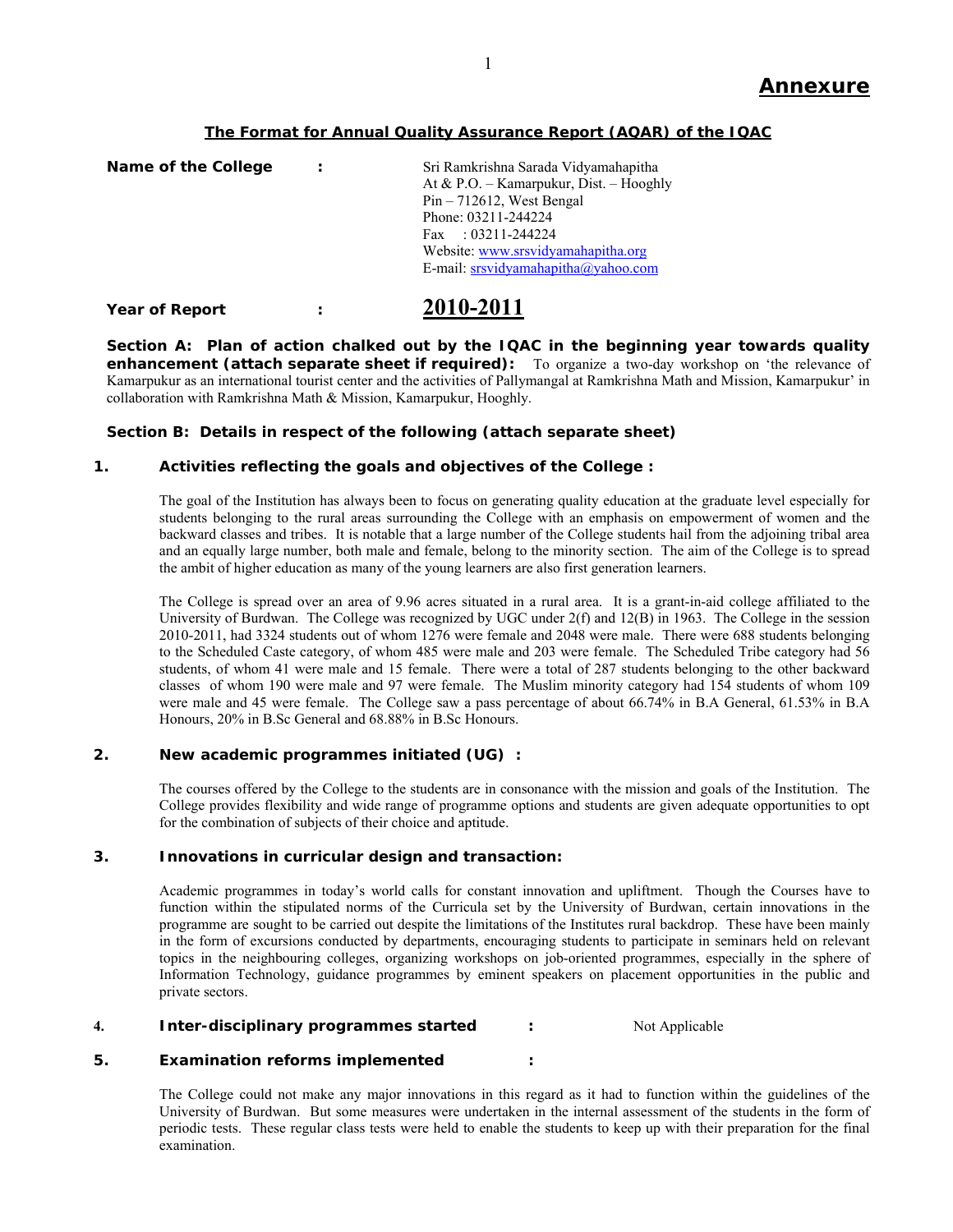## **The Format for Annual Quality Assurance Report (AQAR) of the IQAC**

| Name of the College | ÷ | Sri Ramkrishna Sarada Vidyamahapitha    |
|---------------------|---|-----------------------------------------|
|                     |   | At & P.O. - Kamarpukur, Dist. - Hooghly |
|                     |   | $Pin - 712612$ , West Bengal            |
|                     |   | Phone: 03211-244224                     |
|                     |   | Fax : $03211 - 244224$                  |
|                     |   | Website: www.srsvidyamahapitha.org      |
|                     |   | E-mail: srsvidyamahapitha@yahoo.com     |
|                     |   |                                         |

## **Year of Report : 2010-2011**

**Section A: Plan of action chalked out by the IQAC in the beginning year towards quality enhancement (attach separate sheet if required):** To organize a two-day workshop on 'the relevance of Kamarpukur as an international tourist center and the activities of Pallymangal at Ramkrishna Math and Mission, Kamarpukur' in collaboration with Ramkrishna Math & Mission, Kamarpukur, Hooghly.

## **Section B: Details in respect of the following (attach separate sheet)**

## **1. Activities reflecting the goals and objectives of the College :**

The goal of the Institution has always been to focus on generating quality education at the graduate level especially for students belonging to the rural areas surrounding the College with an emphasis on empowerment of women and the backward classes and tribes. It is notable that a large number of the College students hail from the adjoining tribal area and an equally large number, both male and female, belong to the minority section. The aim of the College is to spread the ambit of higher education as many of the young learners are also first generation learners.

The College is spread over an area of 9.96 acres situated in a rural area. It is a grant-in-aid college affiliated to the University of Burdwan. The College was recognized by UGC under  $2(f)$  and  $12(B)$  in 1963. The College in the session 2010-2011, had 3324 students out of whom 1276 were female and 2048 were male. There were 688 students belonging to the Scheduled Caste category, of whom 485 were male and 203 were female. The Scheduled Tribe category had 56 students, of whom 41 were male and 15 female. There were a total of 287 students belonging to the other backward classes of whom 190 were male and 97 were female. The Muslim minority category had 154 students of whom 109 were male and 45 were female. The College saw a pass percentage of about 66.74% in B.A General, 61.53% in B.A Honours, 20% in B.Sc General and 68.88% in B.Sc Honours.

## **2. New academic programmes initiated (UG) :**

The courses offered by the College to the students are in consonance with the mission and goals of the Institution. The College provides flexibility and wide range of programme options and students are given adequate opportunities to opt for the combination of subjects of their choice and aptitude.

### **3. Innovations in curricular design and transaction:**

Academic programmes in today's world calls for constant innovation and upliftment. Though the Courses have to function within the stipulated norms of the Curricula set by the University of Burdwan, certain innovations in the programme are sought to be carried out despite the limitations of the Institutes rural backdrop. These have been mainly in the form of excursions conducted by departments, encouraging students to participate in seminars held on relevant topics in the neighbouring colleges, organizing workshops on job-oriented programmes, especially in the sphere of Information Technology, guidance programmes by eminent speakers on placement opportunities in the public and private sectors.

### **4. Inter-disciplinary programmes started :** Not Applicable

## **5. Examination reforms implemented :**

The College could not make any major innovations in this regard as it had to function within the guidelines of the University of Burdwan. But some measures were undertaken in the internal assessment of the students in the form of periodic tests. These regular class tests were held to enable the students to keep up with their preparation for the final examination.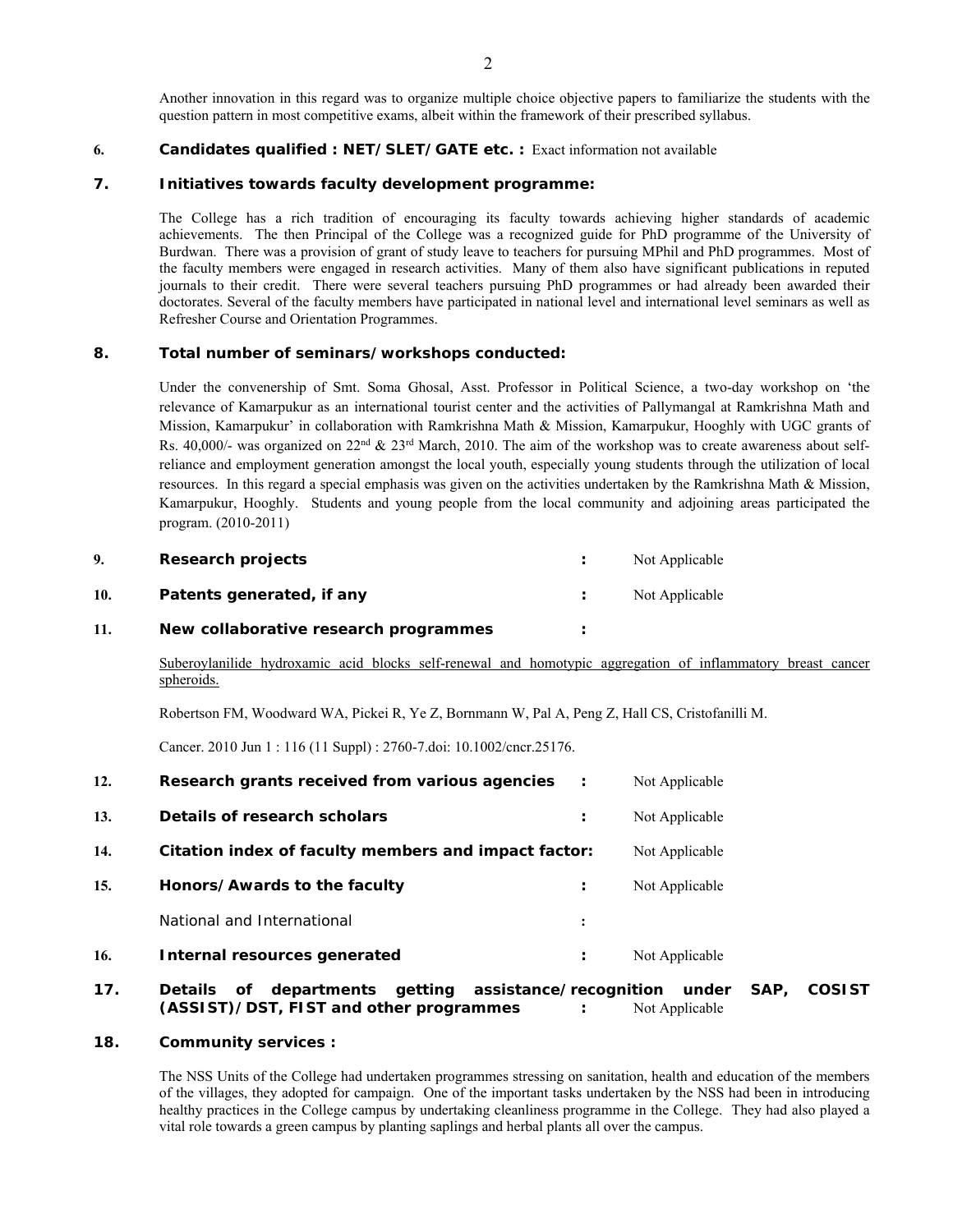Another innovation in this regard was to organize multiple choice objective papers to familiarize the students with the question pattern in most competitive exams, albeit within the framework of their prescribed syllabus.

### **6. Candidates qualified : NET/SLET/GATE etc. :** Exact information not available

### **7. Initiatives towards faculty development programme:**

The College has a rich tradition of encouraging its faculty towards achieving higher standards of academic achievements. The then Principal of the College was a recognized guide for PhD programme of the University of Burdwan. There was a provision of grant of study leave to teachers for pursuing MPhil and PhD programmes. Most of the faculty members were engaged in research activities. Many of them also have significant publications in reputed journals to their credit. There were several teachers pursuing PhD programmes or had already been awarded their doctorates. Several of the faculty members have participated in national level and international level seminars as well as Refresher Course and Orientation Programmes.

### **8. Total number of seminars/workshops conducted:**

Under the convenership of Smt. Soma Ghosal, Asst. Professor in Political Science, a two-day workshop on 'the relevance of Kamarpukur as an international tourist center and the activities of Pallymangal at Ramkrishna Math and Mission, Kamarpukur' in collaboration with Ramkrishna Math & Mission, Kamarpukur, Hooghly with UGC grants of Rs. 40,000/- was organized on 22<sup>nd</sup> & 23<sup>rd</sup> March, 2010. The aim of the workshop was to create awareness about selfreliance and employment generation amongst the local youth, especially young students through the utilization of local resources. In this regard a special emphasis was given on the activities undertaken by the Ramkrishna Math & Mission, Kamarpukur, Hooghly. Students and young people from the local community and adjoining areas participated the program. (2010-2011)

| 9.  | Research projects                     | Not Applicable |
|-----|---------------------------------------|----------------|
| 10. | Patents generated, if any             | Not Applicable |
| 11. | New collaborative research programmes |                |

Suberoylanilide hydroxamic acid blocks self-renewal and homotypic aggregation of inflammatory breast cancer spheroids.

Robertson FM, Woodward WA, Pickei R, Ye Z, Bornmann W, Pal A, Peng Z, Hall CS, Cristofanilli M.

Cancer. 2010 Jun 1 : 116 (11 Suppl) : 2760-7.doi: 10.1002/cncr.25176.

| 12. | Research grants received from various agencies       |                      | Not Applicable |
|-----|------------------------------------------------------|----------------------|----------------|
| 13. | Details of research scholars                         | ٠<br>$\bullet$       | Not Applicable |
| 14. | Citation index of faculty members and impact factor: |                      | Not Applicable |
| 15. | Honors/Awards to the faculty                         | :                    | Not Applicable |
|     | National and International                           | $\ddot{\cdot}$       |                |
| 16. | Internal resources generated                         | $\ddot{\phantom{a}}$ | Not Applicable |
|     |                                                      |                      |                |

### **17. Details of departments getting assistance/recognition under SAP, COSIST (ASSIST)/DST, FIST and other programmes :** Not Applicable

### **18. Community services :**

The NSS Units of the College had undertaken programmes stressing on sanitation, health and education of the members of the villages, they adopted for campaign. One of the important tasks undertaken by the NSS had been in introducing healthy practices in the College campus by undertaking cleanliness programme in the College. They had also played a vital role towards a green campus by planting saplings and herbal plants all over the campus.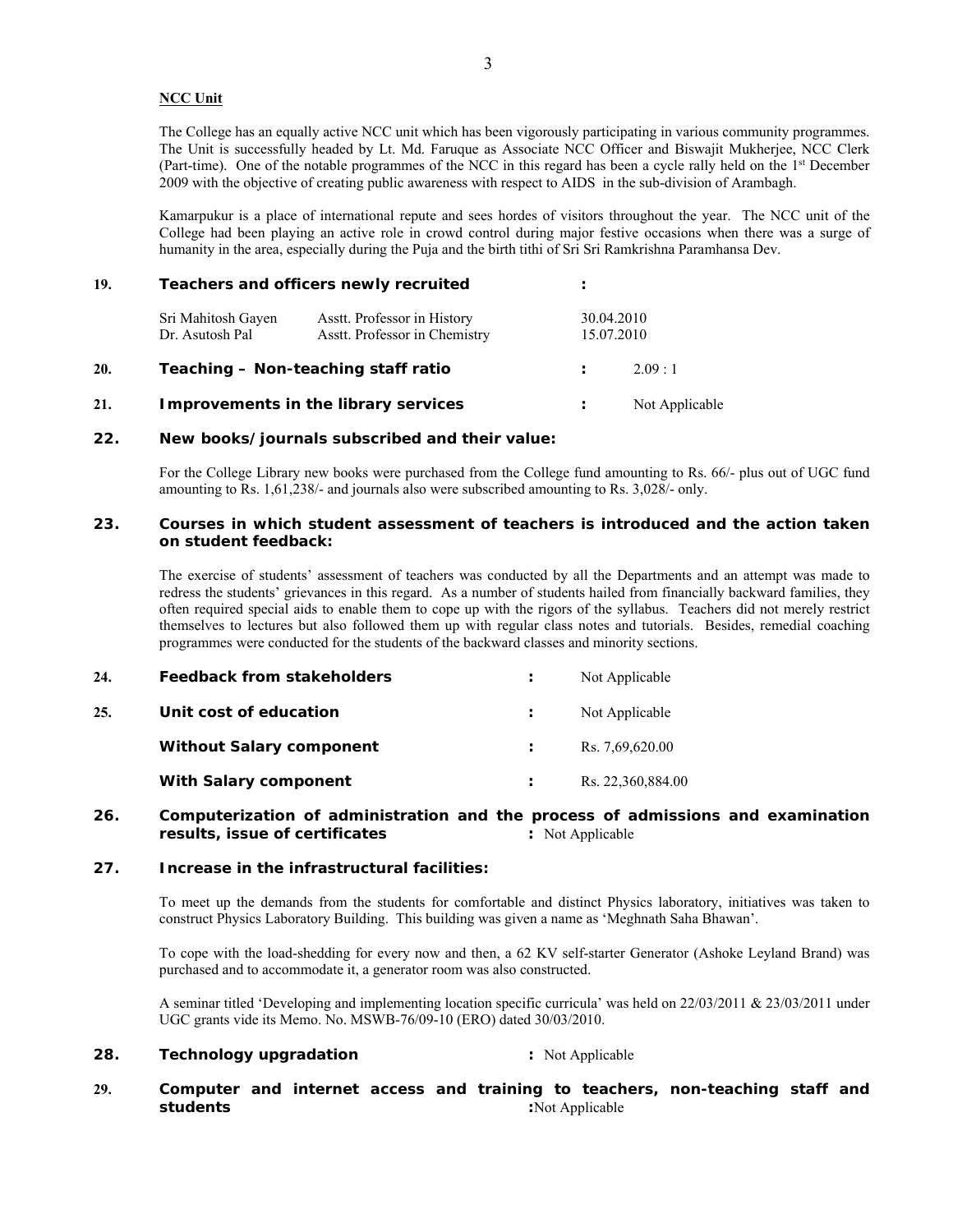### **NCC Unit**

The College has an equally active NCC unit which has been vigorously participating in various community programmes. The Unit is successfully headed by Lt. Md. Faruque as Associate NCC Officer and Biswajit Mukherjee, NCC Clerk (Part-time). One of the notable programmes of the NCC in this regard has been a cycle rally held on the 1st December 2009 with the objective of creating public awareness with respect to AIDS in the sub-division of Arambagh.

Kamarpukur is a place of international repute and sees hordes of visitors throughout the year. The NCC unit of the College had been playing an active role in crowd control during major festive occasions when there was a surge of humanity in the area, especially during the Puja and the birth tithi of Sri Sri Ramkrishna Paramhansa Dev.

# **19. Teachers and officers newly recruited :** Sri Mahitosh Gayen Asstt. Professor in History 30.04.2010<br>Dr. Asutosh Pal Asstt. Professor in Chemistry 15.07.2010 Asstt. Professor in Chemistry **20. Teaching – Non-teaching staff ratio :** 2.09 : 1 **21. Improvements in the library services :** Not Applicable

### **22. New books/journals subscribed and their value:**

For the College Library new books were purchased from the College fund amounting to Rs. 66/- plus out of UGC fund amounting to Rs. 1,61,238/- and journals also were subscribed amounting to Rs. 3,028/- only.

### **23. Courses in which student assessment of teachers is introduced and the action taken on student feedback:**

The exercise of students' assessment of teachers was conducted by all the Departments and an attempt was made to redress the students' grievances in this regard. As a number of students hailed from financially backward families, they often required special aids to enable them to cope up with the rigors of the syllabus. Teachers did not merely restrict themselves to lectures but also followed them up with regular class notes and tutorials. Besides, remedial coaching programmes were conducted for the students of the backward classes and minority sections.

| 24. | Feedback from stakeholders      | Not Applicable    |
|-----|---------------------------------|-------------------|
| 25. | Unit cost of education          | Not Applicable    |
|     | <b>Without Salary component</b> | Rs. 7,69,620.00   |
|     | With Salary component           | Rs. 22,360,884.00 |

### **26. Computerization of administration and the process of admissions and examination results, issue of certificates : Not Applicable : Not Applicable**

### **27. Increase in the infrastructural facilities:**

To meet up the demands from the students for comfortable and distinct Physics laboratory, initiatives was taken to construct Physics Laboratory Building. This building was given a name as 'Meghnath Saha Bhawan'.

To cope with the load-shedding for every now and then, a 62 KV self-starter Generator (Ashoke Leyland Brand) was purchased and to accommodate it, a generator room was also constructed.

A seminar titled 'Developing and implementing location specific curricula' was held on 22/03/2011 & 23/03/2011 under UGC grants vide its Memo. No. MSWB-76/09-10 (ERO) dated 30/03/2010.

## **28. Technology upgradation** : Not Applicable

### **29. Computer and internet access and training to teachers, non-teaching staff and students :**Not Applicable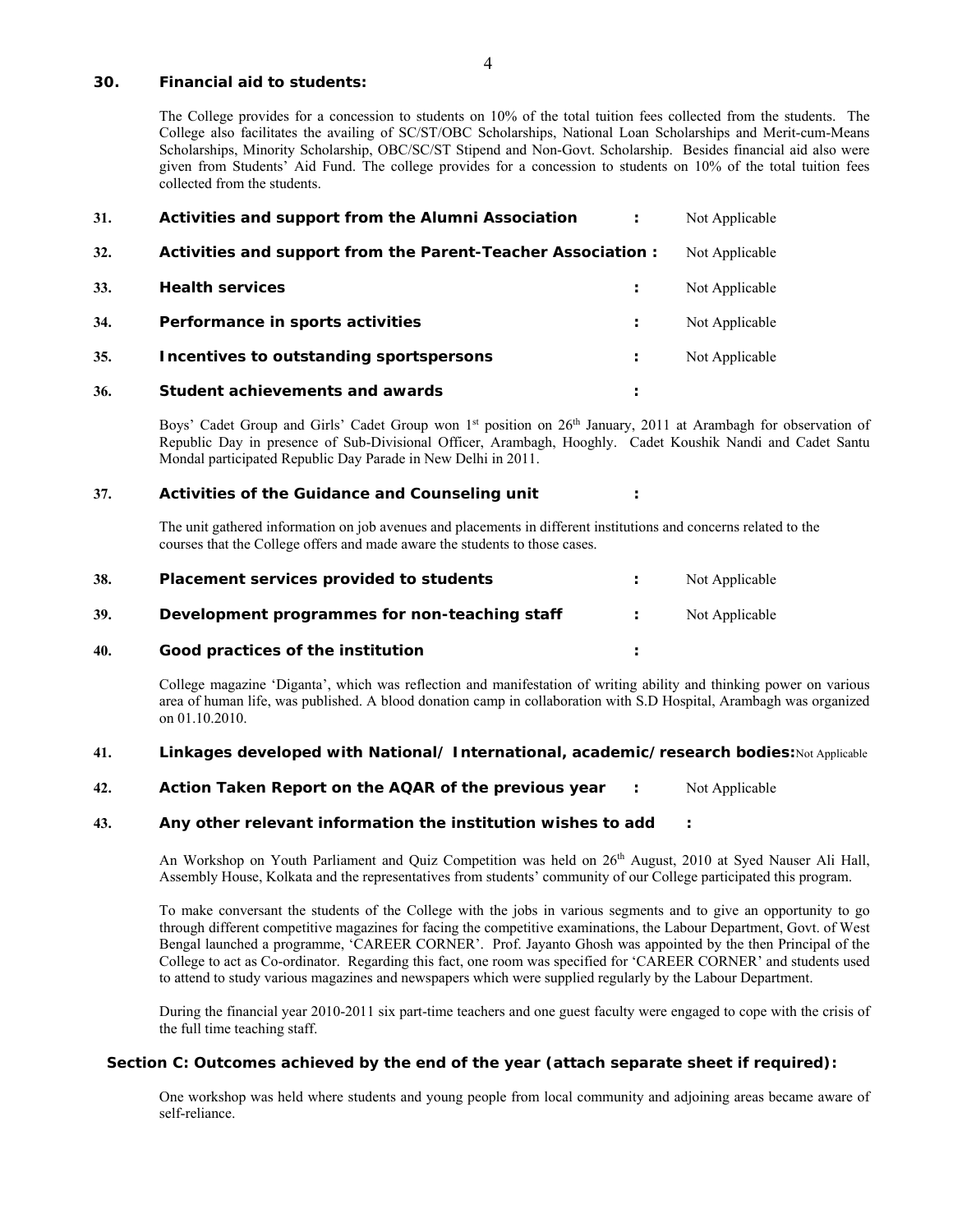#### **30. Financial aid to students:**

The College provides for a concession to students on 10% of the total tuition fees collected from the students. The College also facilitates the availing of SC/ST/OBC Scholarships, National Loan Scholarships and Merit-cum-Means Scholarships, Minority Scholarship, OBC/SC/ST Stipend and Non-Govt. Scholarship. Besides financial aid also were given from Students' Aid Fund. The college provides for a concession to students on 10% of the total tuition fees collected from the students.

| 31. | Activities and support from the Alumni Association           | Not Applicable |
|-----|--------------------------------------------------------------|----------------|
| 32. | Activities and support from the Parent-Teacher Association : | Not Applicable |
| 33. | <b>Health services</b>                                       | Not Applicable |
| 34. | Performance in sports activities                             | Not Applicable |
| 35. | Incentives to outstanding sportspersons                      | Not Applicable |
| 36. | Student achievements and awards                              |                |

Boys' Cadet Group and Girls' Cadet Group won 1<sup>st</sup> position on 26<sup>th</sup> January, 2011 at Arambagh for observation of Republic Day in presence of Sub-Divisional Officer, Arambagh, Hooghly. Cadet Koushik Nandi and Cadet Santu Mondal participated Republic Day Parade in New Delhi in 2011.

### **37. Activities of the Guidance and Counseling unit :**

The unit gathered information on job avenues and placements in different institutions and concerns related to the courses that the College offers and made aware the students to those cases.

| 38. | Placement services provided to students       | Not Applicable |
|-----|-----------------------------------------------|----------------|
| 39. | Development programmes for non-teaching staff | Not Applicable |
| 40. | Good practices of the institution             |                |

College magazine 'Diganta', which was reflection and manifestation of writing ability and thinking power on various area of human life, was published. A blood donation camp in collaboration with S.D Hospital, Arambagh was organized on 01.10.2010.

## **41. Linkages developed with National/ International, academic/research bodies:**Not Applicable

**42. Action Taken Report on the AQAR of the previous year :** Not Applicable

### **43. Any other relevant information the institution wishes to add :**

An Workshop on Youth Parliament and Quiz Competition was held on 26<sup>th</sup> August, 2010 at Syed Nauser Ali Hall, Assembly House, Kolkata and the representatives from students' community of our College participated this program.

To make conversant the students of the College with the jobs in various segments and to give an opportunity to go through different competitive magazines for facing the competitive examinations, the Labour Department, Govt. of West Bengal launched a programme, 'CAREER CORNER'. Prof. Jayanto Ghosh was appointed by the then Principal of the College to act as Co-ordinator. Regarding this fact, one room was specified for 'CAREER CORNER' and students used to attend to study various magazines and newspapers which were supplied regularly by the Labour Department.

During the financial year 2010-2011 six part-time teachers and one guest faculty were engaged to cope with the crisis of the full time teaching staff.

### **Section C: Outcomes achieved by the end of the year (attach separate sheet if required):**

One workshop was held where students and young people from local community and adjoining areas became aware of self-reliance.